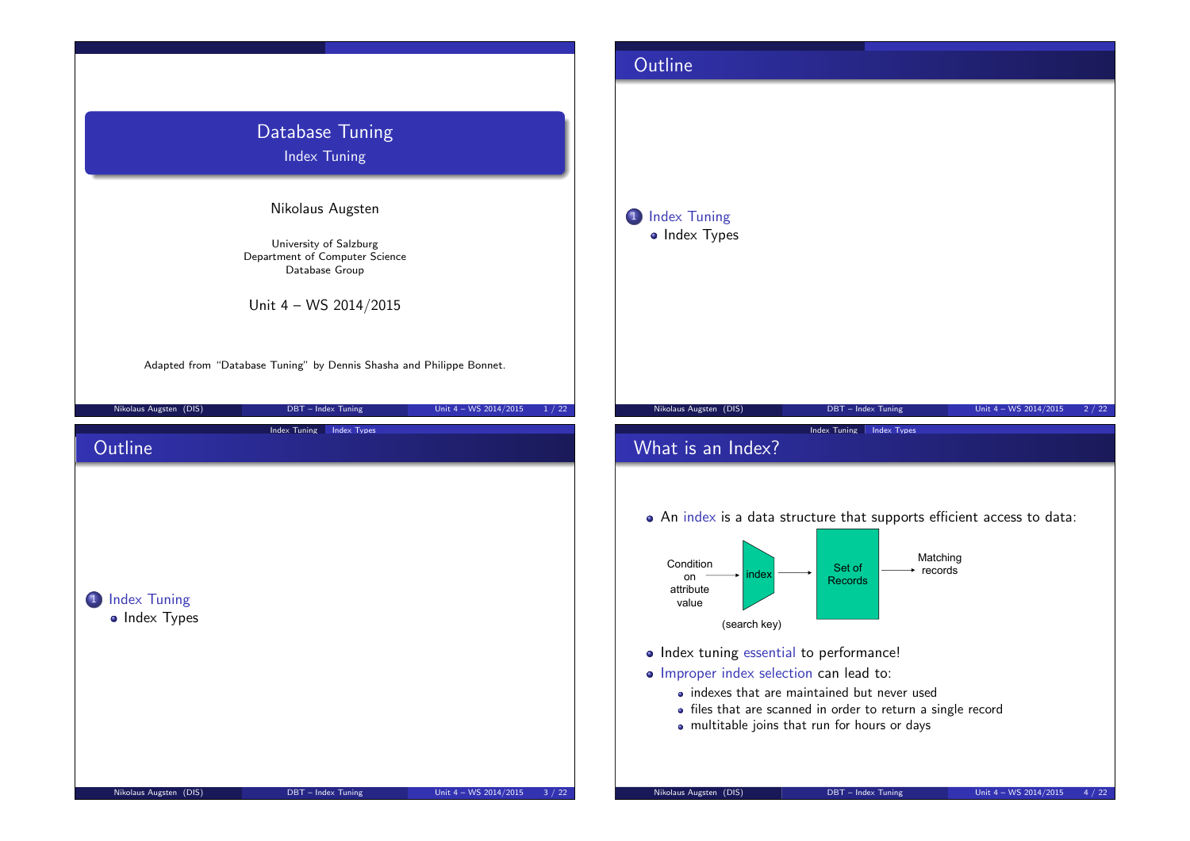|                                                                                                                         |                                      |                                   |                                 | Outline                                                                                                                                              |                                                                                                                                                                                                                                                                                                         |                                 |
|-------------------------------------------------------------------------------------------------------------------------|--------------------------------------|-----------------------------------|---------------------------------|------------------------------------------------------------------------------------------------------------------------------------------------------|---------------------------------------------------------------------------------------------------------------------------------------------------------------------------------------------------------------------------------------------------------------------------------------------------------|---------------------------------|
| Database Tuning<br>Index Tuning                                                                                         |                                      |                                   | 1 Index Tuning<br>• Index Types |                                                                                                                                                      |                                                                                                                                                                                                                                                                                                         |                                 |
| Nikolaus Augsten<br>University of Salzburg<br>Department of Computer Science<br>Database Group<br>Unit 4 - WS 2014/2015 |                                      |                                   |                                 |                                                                                                                                                      |                                                                                                                                                                                                                                                                                                         |                                 |
| Adapted from "Database Tuning" by Dennis Shasha and Philippe Bonnet.<br>Nikolaus Augsten (DIS)                          | DBT - Index Tuning                   | Unit $4 - WS 2014/2015$<br>1 / 22 |                                 | Nikolaus Augsten (DIS)                                                                                                                               | DBT - Index Tuning                                                                                                                                                                                                                                                                                      | Unit 4 - WS 2014/2015<br>2/22   |
| Outline                                                                                                                 | Index Tuning Index Types             |                                   |                                 | What is an Index?                                                                                                                                    | <b>Index Tuning Index Types</b>                                                                                                                                                                                                                                                                         |                                 |
| 1 Index Tuning<br>• Index Types                                                                                         |                                      |                                   |                                 | Condition<br>nde)<br>on<br>attribute<br>value<br>(search key)<br>· Index tuning essential to performance!<br>· Improper index selection can lead to: | . An index is a data structure that supports efficient access to data:<br>Matching<br>Set of<br>$\rightarrow$ records<br><b>Records</b><br>• indexes that are maintained but never used<br>• files that are scanned in order to return a single record<br>· multitable joins that run for hours or days |                                 |
| Nikolaus Augsten (DIS)                                                                                                  | $\textsf{DBT}-\textsf{Index}$ Tuning | Unit $4 - WS 2014/2015$<br>3/22   |                                 | Nikolaus Augsten (DIS)                                                                                                                               | DBT - Index Tuning                                                                                                                                                                                                                                                                                      | Unit 4 - WS 2014/2015<br>4 / 22 |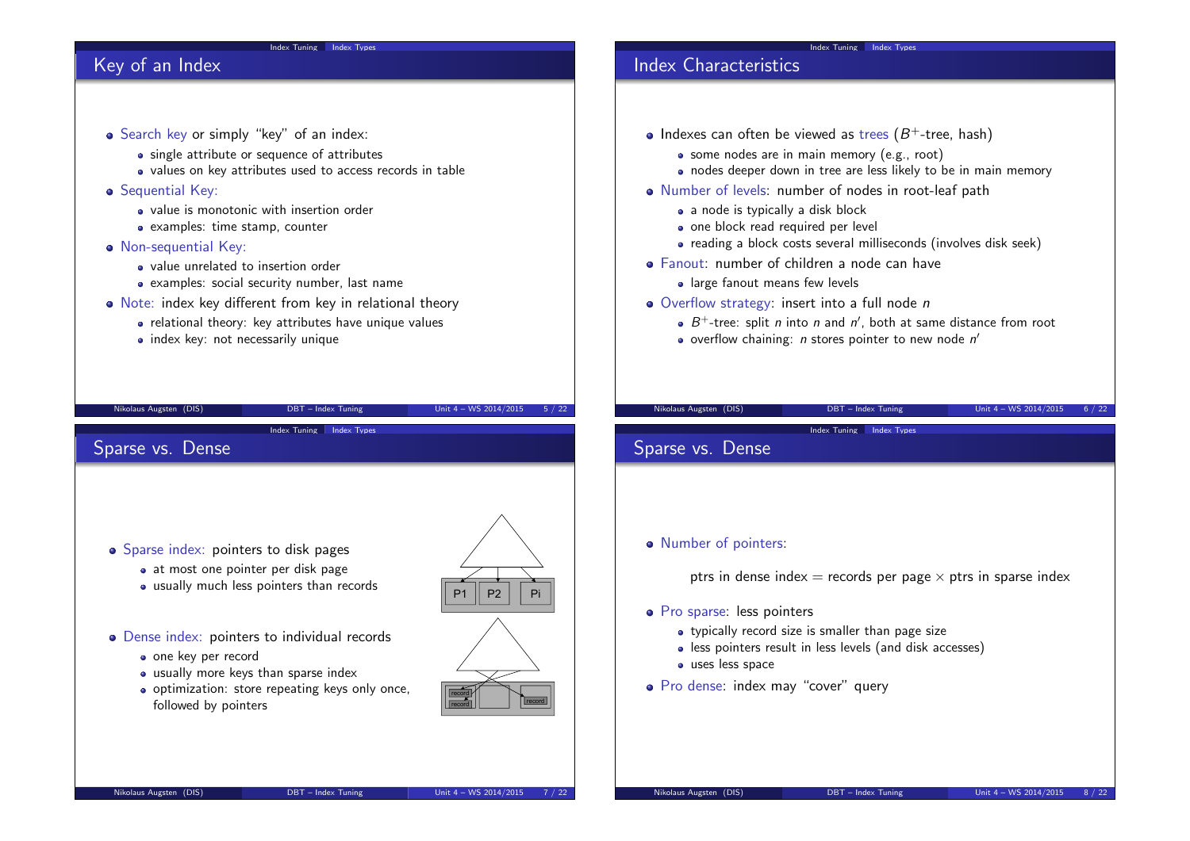## Key of an Index

# Search key or simply "key" of an index: • single attribute or sequence of attributes • values on key attributes used to access records in table **•** Sequential Key: • value is monotonic with insertion order • examples: time stamp, counter • Non-sequential Key: • value unrelated to insertion order examples: social security number, last name Note: index key different from key in relational theory • relational theory: key attributes have unique values • index key: not necessarily unique Nikolaus Augsten (DIS) DBT – Index Tuning Unit 4 – WS 2014/2015 5 / 22 Index Tuning Index Types

Index Tuning Index Types

### Sparse vs. Dense

• Sparse index: pointers to disk pages • at most one pointer per disk page usually much less pointers than records

#### • Dense index: pointers to individual records

- one key per record
- usually more keys than sparse index
- o optimization: store repeating keys only once, followed by pointers





record **r** 

# Index Characteristics

- Indexes can often be viewed as trees  $(B^+$ -tree, hash)
	- some nodes are in main memory (e.g., root)
	- nodes deeper down in tree are less likely to be in main memory

Index Tuning Index Types

- Number of levels: number of nodes in root-leaf path
	- a node is typically a disk block
	- one block read required per level
	- reading a block costs several milliseconds (involves disk seek)
- Fanout: number of children a node can have
	- **a** large fanout means few levels
- Overflow strategy: insert into a full node n
	- $B^+$ -tree: split *n* into *n* and *n'*, both at same distance from root
	- overflow chaining:  $n$  stores pointer to new node  $n'$

Index Tuning Index Types

Nikolaus Augsten (DIS) DBT – Index Tuning Unit 4 – WS 2014/2015 6 / 22

Sparse vs. Dense

#### • Number of pointers:

ptrs in dense index  $=$  records per page  $\times$  ptrs in sparse index

- Pro sparse: less pointers
	- typically record size is smaller than page size
	- less pointers result in less levels (and disk accesses)
	- **uses** less space
- Pro dense: index may "cover" query

record | **record**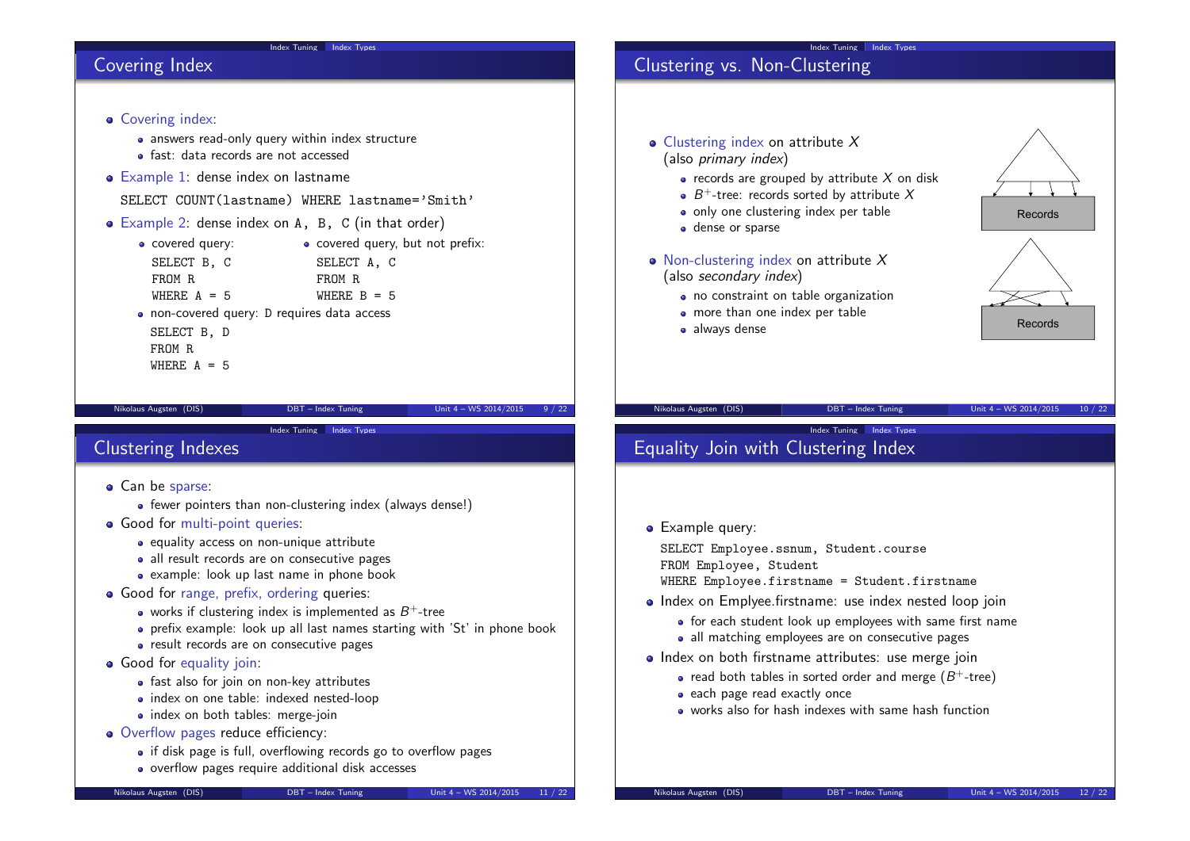### Covering Index

## Clustering vs. Non-Clustering • Clustering index on attribute X (also primary index)  $\bullet$  records are grouped by attribute X on disk  $B^+$ -tree: records sorted by attribute X • only one clustering index per table • dense or sparse Records • Non-clustering index on attribute  $X$ (also secondary index) • no constraint on table organization • more than one index per table • always dense Records

Index Tuning Index Types

Index Tuning Index Types

Nikolaus Augsten (DIS) DBT – Index Tuning Unit 4 – WS 2014/2015 10 / 22

# Equality Join with Clustering Index

### **•** Example query:

SELECT Employee.ssnum, Student.course FROM Employee, Student

WHERE Employee.firstname = Student.firstname

- Index on Emplyee.firstname: use index nested loop join
	- for each student look up employees with same first name
	- all matching employees are on consecutive pages
- Index on both firstname attributes: use merge join
	- read both tables in sorted order and merge  $(B^+$ -tree)
	- each page read exactly once
	- works also for hash indexes with same hash function

# fast: data records are not accessed

• Covering index:

• Example 1: dense index on lastname

SELECT COUNT(lastname) WHERE lastname='Smith'

Example 2: dense index on A, B, C (in that order)

• answers read-only query within index structure

| • covered query: | • covered query, but not prefix: |
|------------------|----------------------------------|
| SELECT B, C      | SELECT A, C                      |
| FROM R           | FROM R                           |
| WHERE $A = 5$    | WHERE $B = 5$                    |
|                  |                                  |

- non-covered query: D requires data access
- SELECT B, D FROM R
- WHERE  $A = 5$

Nikolaus Augsten (DIS) DBT – Index Tuning Unit 4 – WS 2014/2015 9 / 22

### Clustering Indexes

- Can be sparse:
	- fewer pointers than non-clustering index (always dense!)

Index Tuning Index Types

- **Good for multi-point queries:** 
	- equality access on non-unique attribute
	- all result records are on consecutive pages
	- example: look up last name in phone book
- Good for range, prefix, ordering queries:
	- works if clustering index is implemented as  $B^+$ -tree
	- prefix example: look up all last names starting with 'St' in phone book
	- result records are on consecutive pages
- Good for equality join:
	- fast also for join on non-key attributes
	- index on one table: indexed nested-loop
	- index on both tables: merge-join
- Overflow pages reduce efficiency:
	- if disk page is full, overflowing records go to overflow pages
	- overflow pages require additional disk accesses

- 
- 
- 
- -
	-
-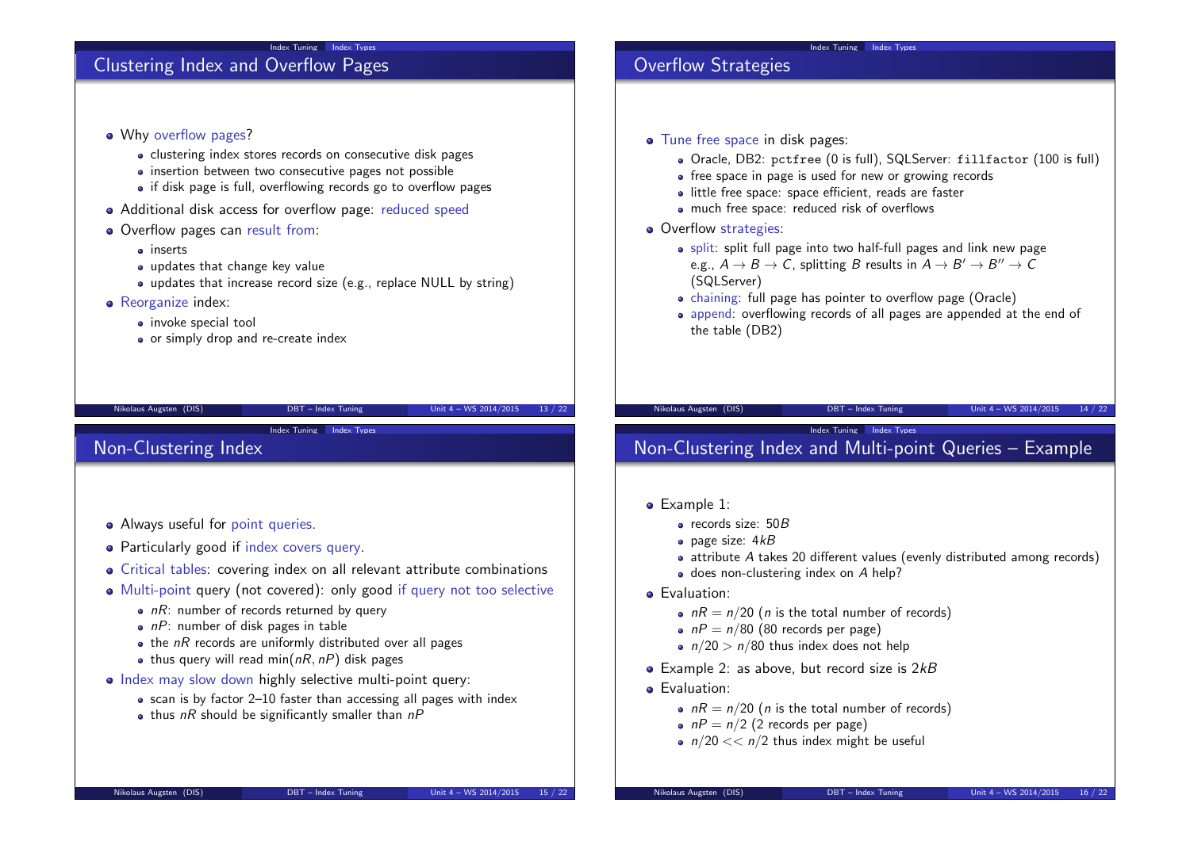### Clustering Index and Overflow Pages

- Why overflow pages? • clustering index stores records on consecutive disk pages • insertion between two consecutive pages not possible • if disk page is full, overflowing records go to overflow pages Additional disk access for overflow page: reduced speed
- Overflow pages can result from:
	- inserts
	- updates that change key value
	- updates that increase record size (e.g., replace NULL by string)
- Reorganize index:
	- invoke special tool
	- or simply drop and re-create index

#### Nikolaus Augsten (DIS) DBT – Index Tuning Unit 4 – WS 2014/2015 13 / 22

Index Tuning Index Types

### Non-Clustering Index

- Always useful for point queries.
- Particularly good if index covers query.
- Critical tables: covering index on all relevant attribute combinations
- Multi-point query (not covered): only good if query not too selective
	- $nR$ : number of records returned by query
	- $\bullet$  nP: number of disk pages in table
	- $\bullet$  the nR records are uniformly distributed over all pages
	- thus query will read min( $nR$ ,  $nP$ ) disk pages
- Index may slow down highly selective multi-point query:
	- scan is by factor 2–10 faster than accessing all pages with index
	- $\bullet$  thus nR should be significantly smaller than nP

### Overflow Strategies

- Tune free space in disk pages:
	- Oracle, DB2: pctfree (0 is full), SQLServer: fillfactor (100 is full)
	- free space in page is used for new or growing records
	- little free space: space efficient, reads are faster
	- much free space: reduced risk of overflows
- Overflow strategies:
	- split: split full page into two half-full pages and link new page e.g.,  $A \to B \to C$ , splitting  $B$  results in  $A \to B' \to B'' \to C$ (SQLServer)

Index Tuning Index Types

- chaining: full page has pointer to overflow page (Oracle)
- append: overflowing records of all pages are appended at the end of the table (DB2)

#### Nikolaus Augsten (DIS) DBT – Index Tuning Unit 4 – WS 2014/2015 14 / 22

### Index Tuning Index Types Non-Clustering Index and Multi-point Queries – Example

- Example 1:
	- records size: 50B
	- $\bullet$  page size:  $4kB$
	- attribute A takes 20 different values (evenly distributed among records)
	- $\bullet$  does non-clustering index on  $A$  help?
- **•** Evaluation:
	- $nR = n/20$  (*n* is the total number of records)
	- $nP = n/80$  (80 records per page)
	- $n/20 > n/80$  thus index does not help
- $\bullet$  Example 2: as above, but record size is 2 $kB$
- **•** Evaluation:
	- $nR = n/20$  (*n* is the total number of records)
	- $nP = n/2$  (2 records per page)
	- $n/20 \ll n/2$  thus index might be useful

Nikolaus Augsten (DIS) DBT – Index Tuning Unit 4 – WS 2014/2015 15 / 22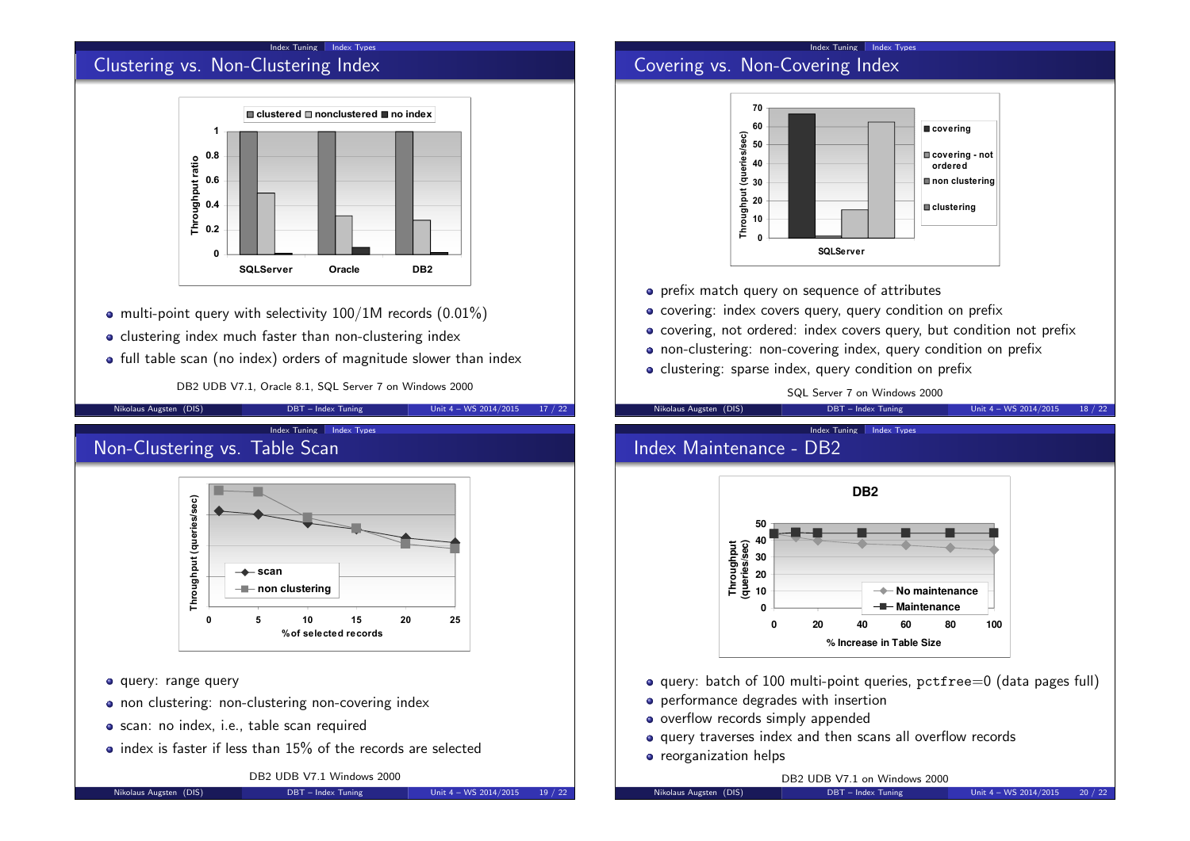## Clustering vs. Non-Clustering Index



- multi-point query with selectivity 100/1M records (0.01%)
- clustering index much faster than non-clustering index
- full table scan (no index) orders of magnitude slower than index

DB2 UDB V7.1, Oracle 8.1, SQL Server 7 on Windows 2000

Nikolaus Augsten (DIS) DBT – Index Tuning Unit 4 – WS 2014/2015 17 / 22

Index Tuning Index Types

Non-Clustering vs. Table Scan



- o query: range query
- non clustering: non-clustering non-covering index
- scan: no index, i.e., table scan required
- $\bullet$  index is faster if less than 15% of the records are selected

DB2 UDB V7.1 Windows 2000

#### Nikolaus Augsten (DIS) DBT – Index Tuning Unit 4 – WS 2014/2015 19 / 22

### Index Tuning Index Types Covering vs. Non-Covering Index



- **•** prefix match query on sequence of attributes
- covering: index covers query, query condition on prefix
- covering, not ordered: index covers query, but condition not prefix
- non-clustering: non-covering index, query condition on prefix
- clustering: sparse index, query condition on prefix

#### SQL Server 7 on Windows 2000

Index Tuning Index Types

#### Nikolaus Augsten (DIS) DBT – Index Tuning Unit 4 – WS 2014/2015 18 / 22

### Index Maintenance - DB2



- query: batch of 100 multi-point queries, pctfree=0 (data pages full)
- **•** performance degrades with insertion
- overflow records simply appended
- query traverses index and then scans all overflow records
- **•** reorganization helps

DB2 UDB V7.1 on Windows 2000

Nikolaus Augsten (DIS) DBT – Index Tuning Unit 4 – WS 2014/2015 20 / 22